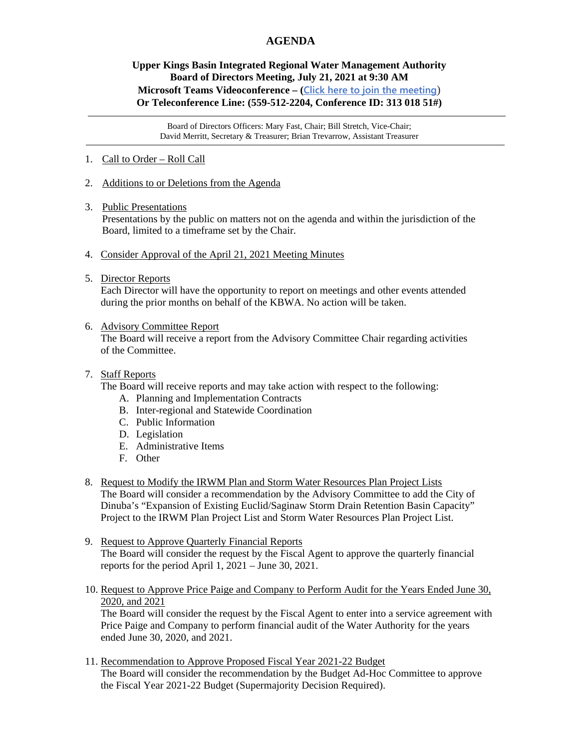## **AGENDA**

## **Upper Kings Basin Integrated Regional Water Management Authority Board of Directors Meeting, July 21, 2021 at 9:30 AM Microsoft Teams Videoconference – ([Click here to join the meeting](https://teams.microsoft.com/l/meetup-join/19%3ameeting_Yjk3OTRiMGYtMjU0ZS00N2RkLTg3OTgtMDc2OTJlOWQyYWYy%40thread.v2/0?context=%7b%22Tid%22%3a%225e8da365-04e7-405e-b4b5-7eec6c65b1f4%22%2c%22Oid%22%3a%220fb939cb-3b3f-4f6b-af4d-602f4442f9b4%22%7d)**) **Or Teleconference Line: (559-512-2204, Conference ID: 313 018 51#)**

Board of Directors Officers: Mary Fast, Chair; Bill Stretch, Vice-Chair; David Merritt, Secretary & Treasurer; Brian Trevarrow, Assistant Treasurer

- 1. Call to Order Roll Call
- 2. Additions to or Deletions from the Agenda
- 3. Public Presentations

Presentations by the public on matters not on the agenda and within the jurisdiction of the Board, limited to a timeframe set by the Chair.

- 4. Consider Approval of the April 21, 2021 Meeting Minutes
- 5. Director Reports

 Each Director will have the opportunity to report on meetings and other events attended during the prior months on behalf of the KBWA. No action will be taken.

6. Advisory Committee Report

 The Board will receive a report from the Advisory Committee Chair regarding activities of the Committee.

7. Staff Reports

The Board will receive reports and may take action with respect to the following:

- A. Planning and Implementation Contracts
- B. Inter-regional and Statewide Coordination
- C. Public Information
- D. Legislation
- E. Administrative Items
- F. Other
- 8. Request to Modify the IRWM Plan and Storm Water Resources Plan Project Lists The Board will consider a recommendation by the Advisory Committee to add the City of Dinuba's "Expansion of Existing Euclid/Saginaw Storm Drain Retention Basin Capacity" Project to the IRWM Plan Project List and Storm Water Resources Plan Project List.
- 9. Request to Approve Quarterly Financial Reports The Board will consider the request by the Fiscal Agent to approve the quarterly financial reports for the period April 1, 2021 – June 30, 2021.
- 10. Request to Approve Price Paige and Company to Perform Audit for the Years Ended June 30, 2020, and 2021

 The Board will consider the request by the Fiscal Agent to enter into a service agreement with Price Paige and Company to perform financial audit of the Water Authority for the years ended June 30, 2020, and 2021.

11. Recommendation to Approve Proposed Fiscal Year 2021-22 Budget The Board will consider the recommendation by the Budget Ad-Hoc Committee to approve the Fiscal Year 2021-22 Budget (Supermajority Decision Required).